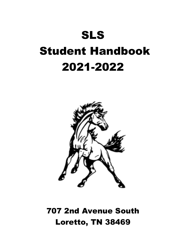# SLS Student Handbook 2021-2022



707 2nd Avenue South Loretto, TN 38469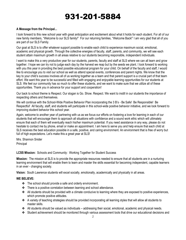# 931-201-5884

#### **A Message from the Principal...**

I look forward to this new school year with great anticipation and excitement about what it holds for each student. For all of our new family members, "Welcome to our SLS family!" For our returning families, "Welcome Back!" I am very glad that all of you are part of our SLS Family.

Our goal at SLS is to offer whatever support possible to enable each child to experience maximum social, emotional, academic and physical growth. Through the collective energies of faculty, staff, parents, and community, we will see each student attain maximum growth in all areas relative to our students becoming responsible, independent individuals.

I want to make this a very productive year for our students, parents, faculty and staff at SLS where we can all learn and grow together. I hope we can try not to judge each day by the harvest we reap but by the seeds we plant. I look forward to working with you this year in providing the best possible educational program for your child. On behalf of the faculty and staff, I would like to encourage you to visit our school as well as attend special events, conferences and parent nights. We know that the key to your child's success involves all of us working together as a team and that parent support is a crucial part of that team effort. We want this year to be successful and filled with engaging and enjoyable learning opportunities for our students at SLS. We feel our community has so much to offer these students, and we want to make sure that we utilize all of these opportunities. Thank you in advance for your support and cooperation!

Our back to school theme is Respect. Our slogan is Go. Show. Respect. We want to instill in our students the importance of respecting others and themselves.

We will continue with the School-Wide Positive Behavior Plan incorporating the 3 B's - Be Safe! Be Responsible! Be Respectful! All faculty, staff, and students will participate in this school-wide positive behavior initiative, and we look forward to improving student behavior this school year.

Again, welcome to another year of partnering with us as we focus our efforts on fostering a love for learning in each of our students that will encourage them to approach all situations with confidence and a sound work ethic which will ultimately ensure that each of them will eventually reach his/her maximum potential. If you need assistance in any way, please do not hesitate to contact me by phone, email or make an appointment. I am here to serve you and help ensure that each child at SLS receives the best education possible in a safe, positive, and caring environment. An environment that is free of worry but full of high expectations. Let's make this a great year at SLS!

Mrs. Shannon Snider Principal

#### **LCSS Mission:** Schools and Community: Working Together for Student Success

**Mission:** The mission at SLS is to provide the appropriate resources needed to ensure that all students are in a nurturing learning environment that will enable them to learn and master the skills essential for becoming independent, capable learners in an ever - changing society.

**Vision:** South Lawrence students will excel socially, emotionally, academically and physically in all areas.

#### **WE BELIEVE:**

- ❖ The school should provide a safe and orderly environment.
- ❖ There is a positive correlation between learning and school attendance.
- ❖ All students should be provided with a climate conducive to learning where they are exposed to positive experiences, which promote positive attitudes.
- ❖ A variety of teaching strategies should be provided incorporating all learning styles that will allow all students to master skills.
- ❖ All students should be valued as individuals addressing their social, emotional, academic and physical needs.
- ❖ Student achievement should be monitored through various assessment tools that drive our educational decisions and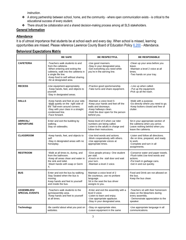instruction.

- ❖ A strong partnership between school, home, and the community where open communication exists is critical to the educational success of every student.
- ❖ There should be collaboration and a shared decision-making process among all SLS stakeholders.

#### **General Information**

# **Attendance**

It is of utmost importance that students be at school each and every day. When school is missed, learning opportunities are missed. Please reference Lawrence County Board of Education Policy [6.200](https://tsba.net/lawrence-county-board-of-education-policy-manual/#search) - Attendance.

#### **Behavioral Expectations Matrix**

|                                             | <b>BE SAFE</b>                                                                                                                                                                                                             | <b>BE RESPECTFUL</b>                                                                                                                                                 | <b>BE RESPONSIBLE</b>                                                                                                                         |
|---------------------------------------------|----------------------------------------------------------------------------------------------------------------------------------------------------------------------------------------------------------------------------|----------------------------------------------------------------------------------------------------------------------------------------------------------------------|-----------------------------------------------------------------------------------------------------------------------------------------------|
| <b>CAFETERIA</b>                            | -Teachers walk students to and<br>from the cafeteria.<br>-When entering and exiting the<br>cafeteria, walk into the cafeteria in<br>a single file line.<br>-Keep food to self without sharing.<br>-Sit at designated area. | -Use good manners.<br>-Stay in your designated area.<br>-Get everything you need while<br>you're in the serving line.                                                | -Clean up your area before you<br>leave.<br>-Maintain a level 2 voice at all<br>times.<br>-Two hands on your tray.                            |
| <b>RECESS</b>                               | -Use equipment appropriately.<br>- Keep hands, feet, and objects to<br>yourself.<br>-Stay in designated areas.                                                                                                             | -Practice good sportsmanship.<br>-Take turns and share equipment.                                                                                                    | - Line up when called.<br>- Put up the equipment.<br>-Pick up all the trash.                                                                  |
| <b>HALLS</b>                                | -Keep hands and feet at your side.<br>-Walk quietly on the right side of<br>the hall-even around corners.<br>-Stay with your class in a straight<br>condensed line.<br>-Face forward.                                      | -Maintain a voice level 0.<br>-Keep your hands and feet off the<br>walls and doorways.<br>-Keep hallways clean.<br>-Hold the door open for the person<br>behind you. | -Walk with a purpose.<br>-Go directly where you need to go.<br>-Keep lockers closed and free of<br>clutter.                                   |
| <b>ARRIVAL/</b><br><b>DEPARTURE</b>         | Enter and exit the building by<br>walking.<br>Stay on sidewalks.                                                                                                                                                           | Noise level of 0 when car rider<br>numbers are being called.<br>Listen to the adults in charge and<br>follow their instructions.                                     | Sit in your appropriate section of<br>the cafeteria when you arrive.<br>Leave nothing behind when you<br>leave the cafeteria.                 |
| <b>CLASSROOM</b>                            | -Keep hands, feet, and objects to<br>self.<br>-Stay in designated areas with no<br>horseplay.                                                                                                                              | -Use kind words and actions.<br>-Work cooperatively with others.<br>-Use appropriate voices at<br>appropriate times.                                                 | -Listen and follow all directions.<br>-Be on time, prepared, and ready<br>to work.<br>-Complete and turn in all<br>assignments.               |
| <b>RESTROOM</b>                             | -Walk at all times to, during, and<br>from the bathroom.<br>-Keep all areas clean and water in<br>the sink and toilet.<br>-Wash hands with soap or Germ<br>Χ.                                                              | -Give people privacy: One student<br>per stall.<br>-Knock on the stall door and wait<br>vour turn.<br>-Maintain a level 2 voice.                                     | -Conserve water and paper towels.<br>-Flush toilet. Use kind words and<br>actions.<br>-Put trash in garbage cans.<br>-Get in and out quickly. |
| <b>BUS</b>                                  | Enter and exit the bus by walking.<br>Stay Seated when the bus is<br>moving.<br>Keep hands and feet to yourself<br>and inside the bus.                                                                                     | Maintain a voice level of 2<br>Be courteous, use no profane<br>language.<br>Sit in the seat the bus driver<br>assigns to you.                                        | Food and Drink are not allowed on<br>the bus.<br>Keep the bus clean.                                                                          |
| <b>ASSEMBLIES/</b><br><b>SPECIAL EVENTS</b> | -Teachers walk students to the<br>gym/assembly area.<br>-Keep hands and feet to yourself<br>at all times.                                                                                                                  | -Enter and exit the assembly with a<br>level 0 voice.<br>-Listen to learn and enjoy.<br>-Use appropriate applause.<br>-Stay in your designated area.                 | -Teachers sit with their homeroom<br>class on the bleachers during<br>every assembly.<br>- Demonstrate appreciation to the<br>speaker.        |
| <b>Technology</b>                           | -Be careful about what you post on<br>websites.                                                                                                                                                                            | -Stay on appropriate sites.<br>-Leave equipment in the same                                                                                                          | -Use appropriate language in all<br>communications.                                                                                           |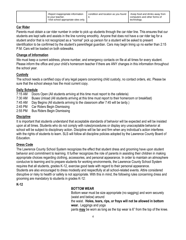| -Report inappropriate information<br>to vour teacher.<br>-Visit school appropriate sites only. | condition and location as you found<br>ıt. | -Keep food and drinks away from<br>computers and other forms of<br>technology. |
|------------------------------------------------------------------------------------------------|--------------------------------------------|--------------------------------------------------------------------------------|
|------------------------------------------------------------------------------------------------|--------------------------------------------|--------------------------------------------------------------------------------|

### **Car Rider**

Parents must obtain a car rider number in order to pick up students through the car rider line. This ensures that our students are kept safe and assists in the line running smoothly. Anyone that does not have a car rider tag for a student and/or that is not recognized as a "normal" pick up person for a student will be asked to present identification to be confirmed by the student's parent/legal guardian. Cars may begin lining up no earlier than 2:15 P.M. Cars will be loaded on both sidewalks.

# **Change of Information**

We must keep a current address, phone number, and emergency contacts on file at all times for every student. Please inform the office and your child's homeroom teacher if there are ANY changes in this information throughout the school year.

# **Custody**

The school needs a certified copy of any legal papers concerning child custody, no contact orders, etc. Please be sure that the school always has the most current copy.

# **Daily Schedule**

7:15 AM Doors Open (All students arriving at this time must report to the cafeteria)

- 7:30 AM Buses Unload (All students arriving at this time must report to their homeroom or breakfast)
- 7:45 AM Day Begins (All students arriving to the classroom after 7:45 will be tardy.)
- 2:45 PM Car Riders Begin Dismissing
- 2:55 PM Bus Riders Begin Dismissing

# **Discipline**

It is important that students understand that acceptable standards of behavior will be expected and will be insisted upon at all times. Students who do not comply with rules/procedures or display any unacceptable behavior at school will be subject to disciplinary action. Discipline will be fair and firm when any individual's action interferes with the rights of students to learn. SLS will follow all discipline policies adopted by the Lawrence County Board of Education.

#### **Dress Code**

The Lawrence County School System recognizes the effect that student dress and grooming have upon student behavior and commitment to learning. It further recognizes the role of parents in assisting their children in making appropriate choices regarding clothing, accessories, and personal appearance. In order to maintain an atmosphere conducive to learning and to prepare students for working environments, the Lawrence County School System requires that all students, grades K-12, exercise good taste with regard to their personal appearance. Students are also encouraged to dress modestly and respectfully at all school-related events. Attire considered disruptive or risky to health or safety is not appropriate. With this in mind, the following rules concerning dress and grooming are mandatory to students in grades K-12:

# **K-12**

#### **BOTTOM WEAR**

Bottom wear must be size appropriate (no sagging) and worn securely (waist and below) around the waist. **Holes, tears, rips, or frays will not be allowed in bottom wear.** Leggings and yoga pants **may** be worn as long as the top wear is 6" from the top of the knee.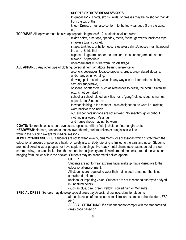#### **SHORTS/SKORTS/DRESSES/SKIRTS**

In grades 6-12, shorts, skorts, skirts, or dresses may be no shorter than 4" from the top of the

knee. Dresses must also conform to the top wear code (from the waist up).

**TOP WEAR** All top wear must be size appropriate. In grades 6-12, students shall not wear

midriff shirts, tube tops, spandex, mesh, fishnet garments, backless tops, strapless tops, spaghetti

straps, tank tops, or halter tops. Sleeveless shirts/blouses must fit around the arm. Shirts that

expose a large area under the arms or expose undergarments are not allowed. Appropriate

undergarments must be worn. No *cleavage.*

**ALL APPAREL** Any other type of clothing, personal item, or tattoos, bearing reference to

alcoholic beverages, tobacco products, drugs, drug-related slogans, and/or any other wording,

drawing, pictures, etc., which in any way can be interpreted as being sexually suggestive,

obscene, or offensive, such as references to death, the occult, Satanism, etc., is not permitted in

school or school related activities nor is "gang" related slogans, names, apparel, etc. Students are

to wear clothing in the manner it was designed to be worn-i.e. clothing worn backward or inside

out, suspenders undone are not allowed. No see-through or cut-out clothing is allowed. Pajamas

and house shoes may not be worn.

**COATS:** No trench coats, capes, overcoats, topcoats, military field jackets, or floor-length coats.

**HEADWEAR**: No hats, bandanas, hoods, sweatbands, curlers, rollers or sunglasses will be

worn in the building except for medical reasons.

**JEWELRY/ACCESSORIES:** Students are not to wear jewelry, ornaments, or accessories which distract from the educational process or pose as a health or safety issue. Body-piercing is limited to the ears and nose. Students are not allowed to wear gauges nor have septum piercings. No heavy metal chains (such as made out of steel, chrome, alloy, etc.) and look-alikes that are not formal jewelry are allowed around the neck, around the waist, or hanging from the waist into the pocket. Students may not wear metal-spiked apparel.

#### **OTHER**

Students are not to wear extreme facial makeup that is disruptive to the educational environment.

All students are required to wear their hair in such a manner that is not considered unkempt,

unclean, or impairing vision. Students are not to wear hair sprayed or dyed in unnatural colors

(such as blue, pink. green, yellow), spiked hair, or Mohawks.

**SPECIAL DRESS:** Schools may develop special dress days/special dress occasions for students

at the discretion of the school administration (examples: cheerleaders, FFA, etc.).

**SPECIAL SITUATIONS**: If a student cannot comply with the standardized dress code based on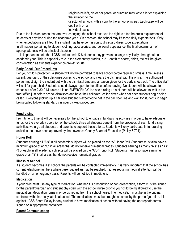religious beliefs, his or her parent or guardian may write a letter explaining the situation to the

director of schools with a copy to the school principal. Each case will be dealt with on an

individual basis.

Due to the fashion trends that are ever-changing, the school reserves the right to alter the dress requirement of students at any time during the academic year. On occasion, the school may lift these daily expectations. Only when expectations are lifted, the student may have permission to disregard dress code expectations. In all matters pertaining to student clothing, accessories, and personal appearance, the final determinant of appropriateness will be principal discretion.

\*It is important to note that LCSS understands K-8 students may grow and change physically throughout an academic year. This is especially true in the elementary grades, K-5. Length of shorts, shirts, etc. will be given consideration as students experience growth spurts.

#### **Early Check-Out Procedures**

For your child's protection, a student will not be permitted to leave school before regular dismissal time unless a parent, guardian, or their designee comes to the school and clears the dismissal with the office. The authorized person must sign the student out with the dismissal time and a reason given for the early check-out. The office staff will call for your child. Students should always report to the office before leaving. No student will be allowed to check out after 2:30 P.M. unless it is an EMERGENCY. No one picking up a student will be allowed to wait in the front office just before school dismisses and have their child(ren) called down when car rider students begin being called. Everyone picking up a car rider student is expected to get in the car rider line and wait for students to begin being called following standard car rider pick-up procedure.

# **Fundraising**

From time to time, it will be necessary for the school to engage in fundraising activities in order to have adequate funds for the everyday operation of the school. Since all students benefit from the proceeds of such fundraising activities, we urge all students and parents to support these efforts. Students will only participate in fundraising activities that have been approved by the Lawrence County Board of Education (Policy 6.701).

#### **Honor Roll**

Students earning all "A's" in all academic subjects will be placed on the "A" Honor Roll. Students must also have a minimum grade of an "S" in all areas that do not receive numerical grades. Students earning as many "A's" as "B's" (3 of each) in all academic subjects will be placed on the "A/B" Honor Roll. Students must also have a minimum grade of an "S" in all areas that do not receive numerical grades.

#### **Illness at School**

If a student becomes ill at school, the parents will be contacted immediately. It is very important that the school has current telephone numbers where parent/guardian may be reached. Injuries requiring medical attention will be handled on an emergency basis. Parents will be notified immediately.

#### **Medication**

If your child must use any type of medication, whether it is prescription or non-prescription, a form must be signed by the parent/guardian and student physician with the school nurse prior to your child being allowed to use the medication. Medication forms may be picked up from the school nurse. The medication must be in the original container with pharmacy labels attached. The medications must be brought to school by the parent/guardian. It is against LCSS Board Policy for any student to have medication at school without having the appropriate forms signed or in appropriate containers.

#### **Parent Communication**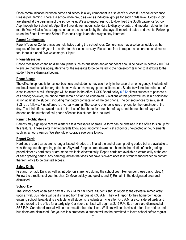Open communication between home and school is a key component in a student's successful school experience. Please join Remind. There is a school-wide group as well as individual groups for each grade level. Codes to join are shared at the beginning of the school year. We also encourage you to download the South Lawrence School App through the School Info App. It will provide reminders, calendars to display events, and important dates for the month. You will also find a large calendar in the school lobby that displays all important dates and events. Following us on the South Lawrence School Facebook page is another way to stay informed.

#### **Parent Conferences**

Parent/Teacher Conferences are held twice during the school year. Conferences may also be scheduled at the request of the parent/ guardian and/or teacher as necessary. Please feel free to request a conference anytime you feel there is a need. We welcome your input!

#### **Phone Messages**

Phone messages changing dismissal plans such as bus riders and/or car riders should be called in before 2:00 P.M. to ensure that there is adequate time for the message to be delivered to the homeroom teacher to distribute to the student before dismissal begins.

#### **Phone Usage**

The office telephone is for school business and students may use it only in the case of an emergency. Students will not be allowed to call for forgotten homework, lunch money, personal items, etc. Students will not be called out of class to accept a call. Messages will be taken in the office. LCSS Board policy [6.312](https://tsba.net/lawrence-county-board-of-education-policy-manual/#search) allows students to possess a cell phone; however, the phone must remain off and be concealed. Violations of this policy will result in disciplinary action against the student, including mandatory confiscation of the cell phone. The consequences for misuse at SLS is as follows. First offense is a verbal warning. The second offense is loss of phone for the remainder of the day. The third offense would result in the loss of the phone for a number of days, and the number of days will depend on the number of cell phone offenses this student has incurred.

#### **Remind Notifications**

Parents may sign up to receive alerts via text messages or email. A form can be obtained in the office to sign up for this feature. These alerts may let parents know about upcoming events at school or unexpected announcements such as school closings. We strongly encourage everyone to join.

#### **Report Cards**

Hard copy report cards are no longer issued. Grades are final at the end of each grading period but are available to view throughout the grading period on Skyward. Progress reports are sent home in the middle of each grading period either by hard copy or are made available electronically. Report cards are available electronically at the end of each grading period. Any parent/guardian that does not have Skyward access is strongly encouraged to contact the front office to be granted access.

#### **Safety Drills**

Fire and Tornado Drills as well as intruder drills are held during the school year. Remember these basic rules: 1) Follow the directions of your teacher, 2) Move quickly and quietly, and 3) Remain in the designated area until dismissed.

#### **School Day**

The school doors open each day at 7:15 A.M for car riders. Students should report to the cafeteria immediately upon arrival. Bus riders will be dismissed from their bus at 7:30 A.M. They will report to their homeroom upon entering school. Breakfast is available to all students. Students arriving after 7:45 A.M. are considered tardy and should report to the office for a tardy slip. Car rider dismissal will begin at 2:45 P.M. Bus riders are dismissed at 2:55 P.M. Car rider dismissal will be resume after bus dismissal. Walkers will be dismissed after all car riders and bus riders are dismissed. For your child's protection, a student will not be permitted to leave school before regular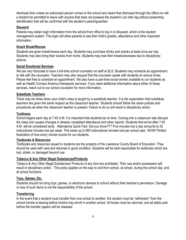dismissal time unless an authorized person comes to the school and clears that dismissal through the office nor will a student be permitted to leave with anyone that does not possess the student's car rider tag without presenting identification that will be confirmed with the student's parent/guardian.

#### **Skyward**

Parents may obtain login information from the school front office to log in to Skyward, which is the student management system. This login will allow parents to see their child's grades, attendance and other important information.

#### **Snack Break/Recess**

Students are given break/recess each day. Students may purchase drinks and snacks at least once per day. Students may also bring their snacks from home. Students may lose their breaks/recesses due to disciplinary actions.

#### **Social Emotional Services**

We are very fortunate to have a full-time school counselor on staff at SLS. Students may schedule an appointment to talk with the counselor. Teachers may also request that the counselor speak with students at various times. Please feel free to schedule an appointment. We also have a part-time social worker available to our students as well as Health Connect America therapeutic services. If you need additional information about either of these services, reach out to our school counselor for more information.

#### **Substitute Teachers**

There may be times when your child's class is taught by a substitute teacher. It is the expectation that substitute teachers are given the same respect as the classroom teacher. Students should follow the same policies and procedures as when the classroom teacher is present. Failure to do so will result in disciplinary action.

#### **Tardiness**

School begins each day at 7:45 A.M. It is important that students be on time. Coming into a classroom late disrupts the class and causes changes in already completed attendance and other reports. Students that arrive after 7:45 A.M. will be considered tardy. Attendance Quick Fact: Did you know??? Five minutes lost a day amounts to 25 instructional minutes lost per week. This totals up to 900 instructional minutes lost per school year. WOW! Perfect illustration of how every minute counts for our students.

# **Textbooks & Resources**

Textbooks and resources issued to students are the property of the Lawrence County Board of Education. They should be used with care and returned in good condition. Students will be held responsible for textbooks which are lost, stolen, or damaged beyond use.

#### **Tobacco & Any Other Illegal Substances/Products**

Tobacco & Any Other Illegal Substances/ Products of any kind are prohibited. Their use and/or possession will result in disciplinary action. This policy applies on the way to and from school, at school, during the school day, and at school functions.

#### **Toys, Games, Etc.**

Students should not bring toys, games, or electronic devices to school without their teacher's permission. Damage or loss of such items is not the responsibility of the school.

# **Transferring**

In the event that a student must transfer from one school to another, the student must be "withdrawn" from the school he/she is leaving before he/she may enroll in another school. All books must be returned, and all debts paid before the transfer papers will be released.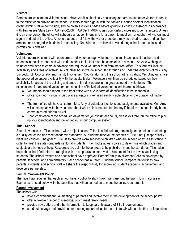# **Visitors**

Parents are welcome to visit the school. However, it is absolutely necessary for parents and other visitors to report to the office when arriving at the school. Visitors should sign in with their driver's license or other identification, obtain administrative permission, and be given a visitor's badge before going to a child's classroom in accordance with Tennessee State Law (TCA 49-6-2008 , TCA 39-14-406). Classroom disturbances must be minimized. Unless it is an emergency, the office will schedule an appointment time for a parent to meet with a teacher. All visitors must sign in and out at the office. Anyone that does not follow the visitor procedure may be asked to leave and can be arrested and charged with criminal trespassing. No children are allowed to visit during school hours unless prior permission is obtained.

### **Volunteers**

Volunteers are welcomed with open arms, and we encourage volunteers to come in and assist teachers and students in the classroom and with various other tasks that must be completed in a school. Anyone wishing to volunteer will need to come in advance and request a volunteer form from the front office. This form will include availability and areas of interest. All volunteer hours will be scheduled through and under the direction of Mrs. Amy Simbeck, RTI Coordinator and Family Involvement Coordinator, and the school administration. Mrs. Amy will share the approved volunteer availability with the faculty & staff. Volunteers will then be scheduled based on their availability for areas of the building and times of the day we are in the greatest need of volunteers. The expectations for approved volunteers once notified of individual volunteer schedule are as follows:

- Volunteers should report to the front office with a valid form of identification to be scanned in.
- Once scanned, visitors should place a visitor sticker in an easily visible place for the duration of his/her visit.
- The front office will have a list from Mrs. Amy of volunteer locations and assignments available. Mrs. Amy will come speak with the volunteer about what help is needed for the day if the plan has not already been communicated prior to arrival.
- Upon completion of the scheduled day/time for your volunteer hours, please exit through the office to pick up your identification and be logged out in our computer system.

# **Title I School**

South Lawrence is a Title I school- wide project school. Title I is a federal program designed to help all students get a quality education and meet academic standards. All students receive the benefits of Title I, not just specifically identified children. The goal of Title I is to provide extra services to children who are in need of extra assistance in order to meet the state standards set for all students. Title I looks at test scores to determine which grades and subjects are in need of help. Resources are put into these areas to help children meet the standards. Title I also helps the school find reform strategies with an emphasis on improved achievement for the lowest achieving students. The school system and each school have approved Parent/Family Involvement Policies developed by parents, teachers, and administrators. Each school has a Parent-Student-School Compact that outlines how parents, students, and school staff will share the responsibility for improving student academic achievement and develop a partnership.

#### **Family Involvement Policy**

The Title I law requires that each school have a policy to show how it will carry out the law in four major areas. Each area is listed below with the activities that will be carried on to meet the policy requirements.

#### **Parent Involvement**

The school will:

- hold a convenient annual meeting of parents and involve them in the development of the school policy.
- offer a flexible number of meetings, which meet family needs.
- provide newsletters and other information to keep parents aware of Title I requirements.
- send out surveys and provide other meeting opportunities for parents to talk with each other, ask questions,